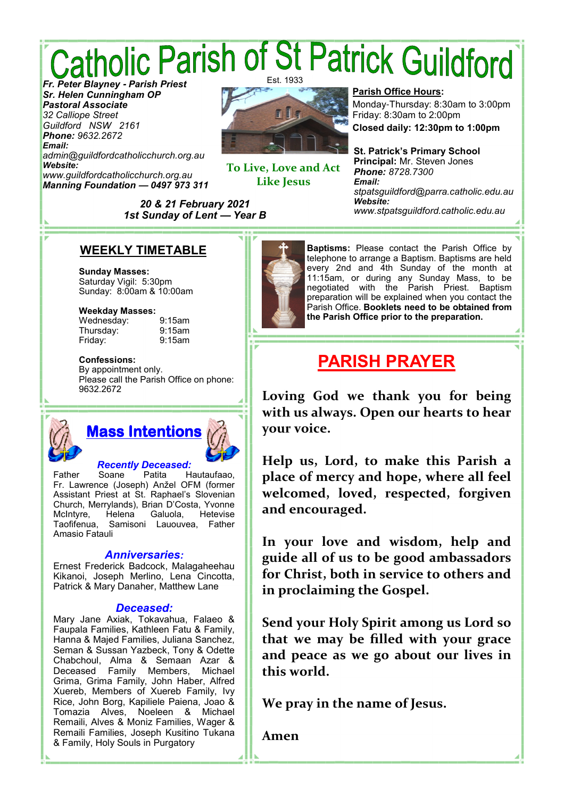# *Catholic Parish of St Patrick Guildford* Est. 1933

*Sr. Helen Cunningham OP Pastoral Associate 32 Calliope Street Guildford NSW 2161 Phone: 9632.2672 Email: admin@guildfordcatholicchurch.org.au Website: www.guildfordcatholicchurch.org.au Manning Foundation* **—** *0497 973 311*



**To Live, Love and Act Like Jesus** 

**Parish Office Hours:**

Monday-Thursday: 8:30am to 3:00pm Friday: 8:30am to 2:00pm

**Closed daily: 12:30pm to 1:00pm**

**St. Patrick's Primary School Principal:** Mr. Steven Jones *Phone: 8728.7300 Email: stpatsguildford@parra.catholic.edu.au Website: www.stpatsguildford.catholic.edu.au*

*1st Sunday of Lent* **—** *Year B*

*20 & 21 February 2021*

### **WEEKLY TIMETABLE**

**Sunday Masses:** Saturday Vigil: 5:30pm Sunday: 8:00am & 10:00am

#### **Weekday Masses:**

Wednesday: 9:15am Thursday: 9:15am Friday:

**Confessions:**

By appointment only. Please call the Parish Office on phone: 9632.2672



# *Recently Deceased:*

Father Soane Patita Hautaufaao, Fr. Lawrence (Joseph) Anžel OFM (former Assistant Priest at St. Raphael's Slovenian Church, Merrylands), Brian D'Costa, Yvonne McIntyre, Taofifenua, Samisoni Lauouvea, Father Amasio Fatauli

#### *Anniversaries:*

Ernest Frederick Badcock, Malagaheehau Kikanoi, Joseph Merlino, Lena Cincotta, Patrick & Mary Danaher, Matthew Lane

#### *Deceased:*

Mary Jane Axiak, Tokavahua, Falaeo & Faupala Families, Kathleen Fatu & Family, Hanna & Majed Families, Juliana Sanchez, Seman & Sussan Yazbeck, Tony & Odette Chabchoul, Alma & Semaan Azar & Deceased Family Members, Michael Grima, Grima Family, John Haber, Alfred Xuereb, Members of Xuereb Family, Ivy Rice, John Borg, Kapiliele Paiena, Joao & Tomazia Alves, Noeleen & Michael Remaili, Alves & Moniz Families, Wager & Remaili Families, Joseph Kusitino Tukana & Family, Holy Souls in Purgatory



**Baptisms:** Please contact the Parish Office by telephone to arrange a Baptism. Baptisms are held every 2nd and 4th Sunday of the month at 11:15am, or during any Sunday Mass, to be negotiated with the Parish Priest. Baptism preparation will be explained when you contact the Parish Office. **Booklets need to be obtained from the Parish Office prior to the preparation.**

# **PARISH PRAYER**

**Loving God we thank you for being with us always. Open our hearts to hear your voice.** 

**Help us, Lord, to make this Parish a place of mercy and hope, where all feel welcomed, loved, respected, forgiven and encouraged.** 

**In your love and wisdom, help and guide all of us to be good ambassadors for Christ, both in service to others and in proclaiming the Gospel.** 

**Send your Holy Spirit among us Lord so that we may be filled with your grace and peace as we go about our lives in this world.** 

**We pray in the name of Jesus.** 

**Amen**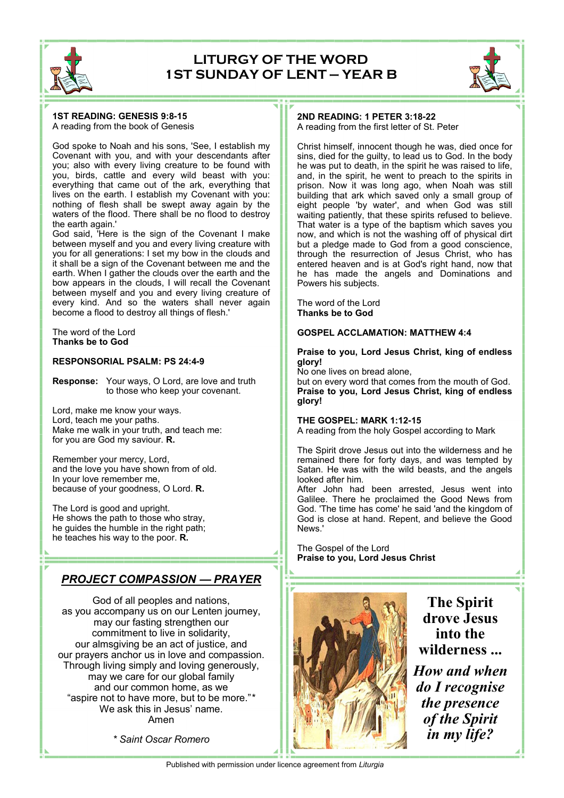

### **LITURGY OF THE WORD 1ST SUNDAY OF LENT — YEAR B**



#### **1ST READING: GENESIS 9:8-15** A reading from the book of Genesis

God spoke to Noah and his sons, 'See, I establish my Covenant with you, and with your descendants after you; also with every living creature to be found with you, birds, cattle and every wild beast with you: everything that came out of the ark, everything that lives on the earth. I establish my Covenant with you: nothing of flesh shall be swept away again by the waters of the flood. There shall be no flood to destroy the earth again.'

God said, 'Here is the sign of the Covenant I make between myself and you and every living creature with you for all generations: I set my bow in the clouds and it shall be a sign of the Covenant between me and the earth. When I gather the clouds over the earth and the bow appears in the clouds, I will recall the Covenant between myself and you and every living creature of every kind. And so the waters shall never again become a flood to destroy all things of flesh.'

The word of the Lord **Thanks be to God**

#### **RESPONSORIAL PSALM: PS 24:4-9**

**Response:** Your ways, O Lord, are love and truth to those who keep your covenant.

Lord, make me know your ways. Lord, teach me your paths. Make me walk in your truth, and teach me: for you are God my saviour. **R.**

Remember your mercy, Lord, and the love you have shown from of old. In your love remember me, because of your goodness, O Lord. **R.**

The Lord is good and upright. He shows the path to those who stray, he guides the humble in the right path; he teaches his way to the poor. **R.**

### *PROJECT COMPASSION* **—** *PRAYER*

God of all peoples and nations, as you accompany us on our Lenten journey, may our fasting strengthen our commitment to live in solidarity, our almsgiving be an act of justice, and our prayers anchor us in love and compassion. Through living simply and loving generously, may we care for our global family and our common home, as we "aspire not to have more, but to be more."*\** We ask this in Jesus' name. Amen

*\* Saint Oscar Romero*

#### **2ND READING: 1 PETER 3:18-22** A reading from the first letter of St. Peter

Christ himself, innocent though he was, died once for sins, died for the guilty, to lead us to God. In the body he was put to death, in the spirit he was raised to life, and, in the spirit, he went to preach to the spirits in prison. Now it was long ago, when Noah was still building that ark which saved only a small group of eight people 'by water', and when God was still waiting patiently, that these spirits refused to believe. That water is a type of the baptism which saves you now, and which is not the washing off of physical dirt but a pledge made to God from a good conscience, through the resurrection of Jesus Christ, who has entered heaven and is at God's right hand, now that he has made the angels and Dominations and Powers his subjects.

The word of the Lord **Thanks be to God**

#### **GOSPEL ACCLAMATION: MATTHEW 4:4**

#### **Praise to you, Lord Jesus Christ, king of endless glory!**

No one lives on bread alone,

but on every word that comes from the mouth of God. **Praise to you, Lord Jesus Christ, king of endless glory!**

#### **THE GOSPEL: MARK 1:12-15**

A reading from the holy Gospel according to Mark

The Spirit drove Jesus out into the wilderness and he remained there for forty days, and was tempted by Satan. He was with the wild beasts, and the angels looked after him.

After John had been arrested, Jesus went into Galilee. There he proclaimed the Good News from God. 'The time has come' he said 'and the kingdom of God is close at hand. Repent, and believe the Good News.'

The Gospel of the Lord **Praise to you, Lord Jesus Christ**



**The Spirit drove Jesus into the wilderness ...** *How and when do I recognise the presence of the Spirit* 

*in my life?*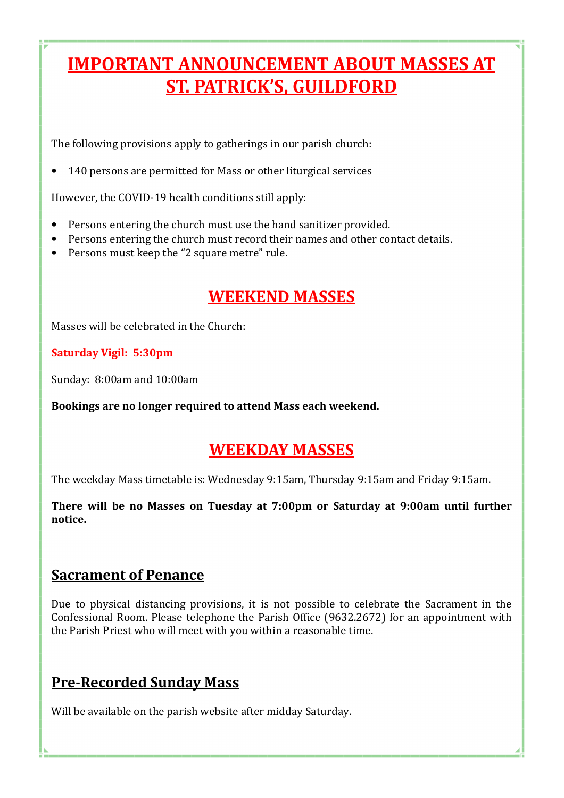# **IMPORTANT ANNOUNCEMENT ABOUT MASSES AT ST. PATRICK'S, GUILDFORD**

The following provisions apply to gatherings in our parish church:

• 140 persons are permitted for Mass or other liturgical services

However, the COVID-19 health conditions still apply:

- Persons entering the church must use the hand sanitizer provided.
- Persons entering the church must record their names and other contact details.
- Persons must keep the "2 square metre" rule.

# **WEEKEND MASSES**

Masses will be celebrated in the Church:

### **Saturday Vigil: 5:30pm**

Sunday: 8:00am and 10:00am

Bookings are no longer required to attend Mass each weekend.

## **WEEKDAY MASSES**

The weekday Mass timetable is: Wednesday 9:15am, Thursday 9:15am and Friday 9:15am.

There will be no Masses on Tuesday at 7:00pm or Saturday at 9:00am until further **notice.** 

### **Sacrament of Penance**

Due to physical distancing provisions, it is not possible to celebrate the Sacrament in the Confessional Room. Please telephone the Parish Office (9632.2672) for an appointment with the Parish Priest who will meet with you within a reasonable time.

## **Pre-Recorded Sunday Mass**

Will be available on the parish website after midday Saturday.